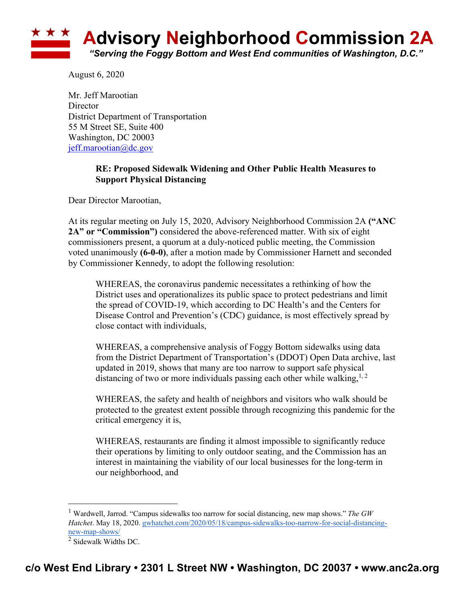

August 6, 2020

Mr. Jeff Marootian **Director** District Department of Transportation 55 M Street SE, Suite 400 Washington, DC 20003 jeff.marootian@dc.gov

### **RE: Proposed Sidewalk Widening and Other Public Health Measures to Support Physical Distancing**

Dear Director Marootian,

At its regular meeting on July 15, 2020, Advisory Neighborhood Commission 2A **("ANC 2A" or "Commission")** considered the above-referenced matter. With six of eight commissioners present, a quorum at a duly-noticed public meeting, the Commission voted unanimously **(6-0-0)**, after a motion made by Commissioner Harnett and seconded by Commissioner Kennedy, to adopt the following resolution:

WHEREAS, the coronavirus pandemic necessitates a rethinking of how the District uses and operationalizes its public space to protect pedestrians and limit the spread of COVID-19, which according to DC Health's and the Centers for Disease Control and Prevention's (CDC) guidance, is most effectively spread by close contact with individuals,

WHEREAS, a comprehensive analysis of Foggy Bottom sidewalks using data from the District Department of Transportation's (DDOT) Open Data archive, last updated in 2019, shows that many are too narrow to support safe physical distancing of two or more individuals passing each other while walking,  $1, 2$ 

WHEREAS, the safety and health of neighbors and visitors who walk should be protected to the greatest extent possible through recognizing this pandemic for the critical emergency it is,

WHEREAS, restaurants are finding it almost impossible to significantly reduce their operations by limiting to only outdoor seating, and the Commission has an interest in maintaining the viability of our local businesses for the long-term in our neighborhood, and

<sup>1</sup> Wardwell, Jarrod. "Campus sidewalks too narrow for social distancing, new map shows." *The GW Hatchet*. May 18, 2020. gwhatchet.com/2020/05/18/campus-sidewalks-too-narrow-for-social-distancingnew-map-shows/

 $\overline{2}$  Sidewalk Widths DC.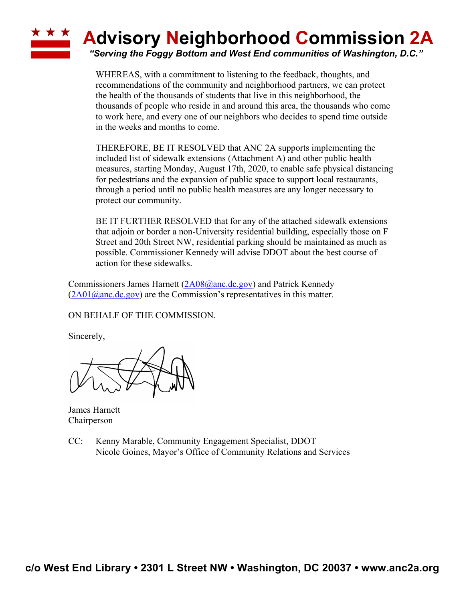## **\* \* \* Advisory Neighborhood Commission 2A**

*"Serving the Foggy Bottom and West End communities of Washington, D.C."*

WHEREAS, with a commitment to listening to the feedback, thoughts, and recommendations of the community and neighborhood partners, we can protect the health of the thousands of students that live in this neighborhood, the thousands of people who reside in and around this area, the thousands who come to work here, and every one of our neighbors who decides to spend time outside in the weeks and months to come.

THEREFORE, BE IT RESOLVED that ANC 2A supports implementing the included list of sidewalk extensions (Attachment A) and other public health measures, starting Monday, August 17th, 2020, to enable safe physical distancing for pedestrians and the expansion of public space to support local restaurants, through a period until no public health measures are any longer necessary to protect our community.

BE IT FURTHER RESOLVED that for any of the attached sidewalk extensions that adjoin or border a non-University residential building, especially those on F Street and 20th Street NW, residential parking should be maintained as much as possible. Commissioner Kennedy will advise DDOT about the best course of action for these sidewalks.

Commissioners James Harnett (2A08@anc.dc.gov) and Patrick Kennedy  $(2A01@anc.de.gov)$  are the Commission's representatives in this matter.

ON BEHALF OF THE COMMISSION.

Sincerely,

James Harnett Chairperson

CC: Kenny Marable, Community Engagement Specialist, DDOT Nicole Goines, Mayor's Office of Community Relations and Services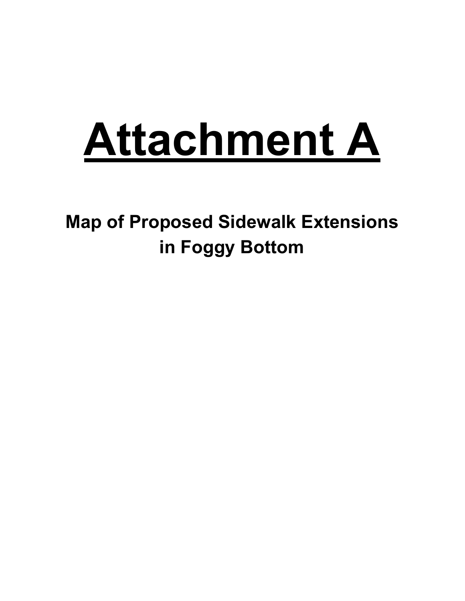# **Attachment A**

**Map of Proposed Sidewalk Extensions in Foggy Bottom**